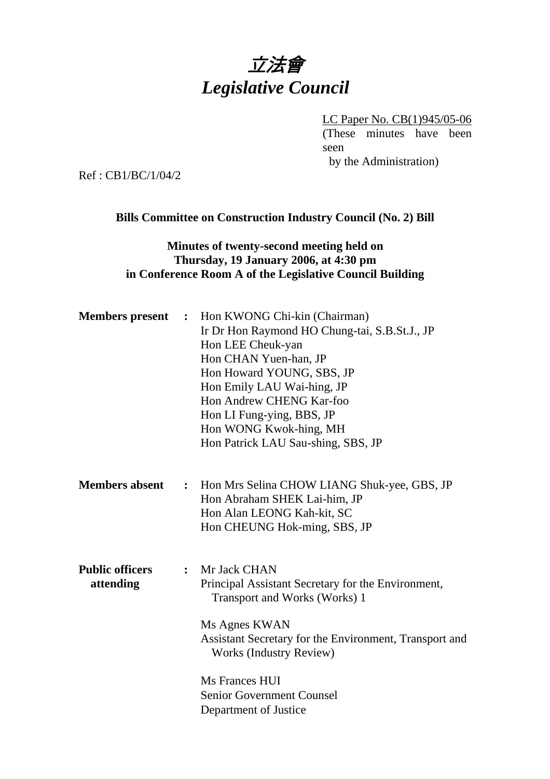# 立法會 *Legislative Council*

LC Paper No. CB(1)945/05-06 (These minutes have been seen by the Administration)

Ref : CB1/BC/1/04/2

### **Bills Committee on Construction Industry Council (No. 2) Bill**

## **Minutes of twenty-second meeting held on Thursday, 19 January 2006, at 4:30 pm in Conference Room A of the Legislative Council Building**

| <b>Members</b> present              | $\ddot{\cdot}$ | Hon KWONG Chi-kin (Chairman)<br>Ir Dr Hon Raymond HO Chung-tai, S.B.St.J., JP<br>Hon LEE Cheuk-yan<br>Hon CHAN Yuen-han, JP<br>Hon Howard YOUNG, SBS, JP<br>Hon Emily LAU Wai-hing, JP<br>Hon Andrew CHENG Kar-foo<br>Hon LI Fung-ying, BBS, JP<br>Hon WONG Kwok-hing, MH<br>Hon Patrick LAU Sau-shing, SBS, JP |
|-------------------------------------|----------------|-----------------------------------------------------------------------------------------------------------------------------------------------------------------------------------------------------------------------------------------------------------------------------------------------------------------|
| <b>Members absent</b>               |                | : Hon Mrs Selina CHOW LIANG Shuk-yee, GBS, JP<br>Hon Abraham SHEK Lai-him, JP<br>Hon Alan LEONG Kah-kit, SC<br>Hon CHEUNG Hok-ming, SBS, JP                                                                                                                                                                     |
| <b>Public officers</b><br>attending | $\ddot{\cdot}$ | Mr Jack CHAN<br>Principal Assistant Secretary for the Environment,<br>Transport and Works (Works) 1<br>Ms Agnes KWAN<br>Assistant Secretary for the Environment, Transport and<br><b>Works (Industry Review)</b><br>Ms Frances HUI<br><b>Senior Government Counsel</b><br>Department of Justice                 |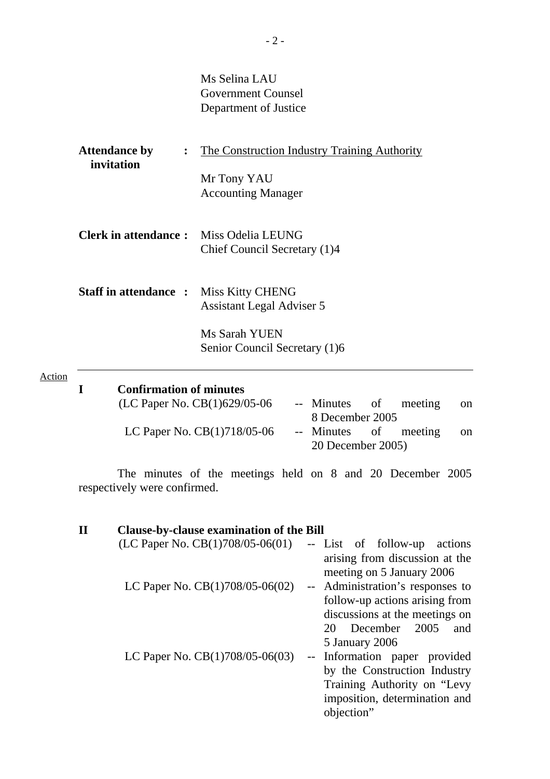Ms Selina LAU Government Counsel Department of Justice

| <b>Attendance by</b><br>invitation | $\ddot{\cdot}$ | The Construction Industry Training Authority |
|------------------------------------|----------------|----------------------------------------------|
|                                    |                | Mr Tony YAU                                  |
|                                    |                | <b>Accounting Manager</b>                    |
| <b>Clerk in attendance:</b>        |                | Miss Odelia LEUNG                            |
|                                    |                | Chief Council Secretary (1)4                 |
| <b>Staff in attendance:</b>        |                | <b>Miss Kitty CHENG</b>                      |
|                                    |                | <b>Assistant Legal Adviser 5</b>             |
|                                    |                | Ms Sarah YUEN                                |
|                                    |                | Senior Council Secretary (1)6                |
|                                    |                |                                              |

Action

| <b>Confirmation of minutes</b> |                       |  |               |
|--------------------------------|-----------------------|--|---------------|
| (LC Paper No. $CB(1)629/05-06$ | -- Minutes of meeting |  | <sub>on</sub> |
|                                | 8 December 2005       |  |               |
| LC Paper No. $CB(1)718/05-06$  | -- Minutes of meeting |  | <sub>on</sub> |
|                                | 20 December 2005)     |  |               |

 The minutes of the meetings held on 8 and 20 December 2005 respectively were confirmed.

| $\mathbf{H}$ | <b>Clause-by-clause examination of the Bill</b> |                                                             |
|--------------|-------------------------------------------------|-------------------------------------------------------------|
|              | (LC Paper No. $CB(1)708/05-06(01)$              | -- List of follow-up<br>actions                             |
|              |                                                 | arising from discussion at the<br>meeting on 5 January 2006 |
|              | LC Paper No. CB(1)708/05-06(02)                 | -- Administration's responses to                            |
|              |                                                 | follow-up actions arising from                              |
|              |                                                 | discussions at the meetings on                              |
|              |                                                 | December 2005<br>20<br>and                                  |
|              |                                                 | 5 January 2006                                              |
|              | LC Paper No. $CB(1)708/05-06(03)$               | -- Information paper provided                               |
|              |                                                 | by the Construction Industry                                |
|              |                                                 | Training Authority on "Levy"                                |
|              |                                                 | imposition, determination and<br>objection"                 |
|              |                                                 |                                                             |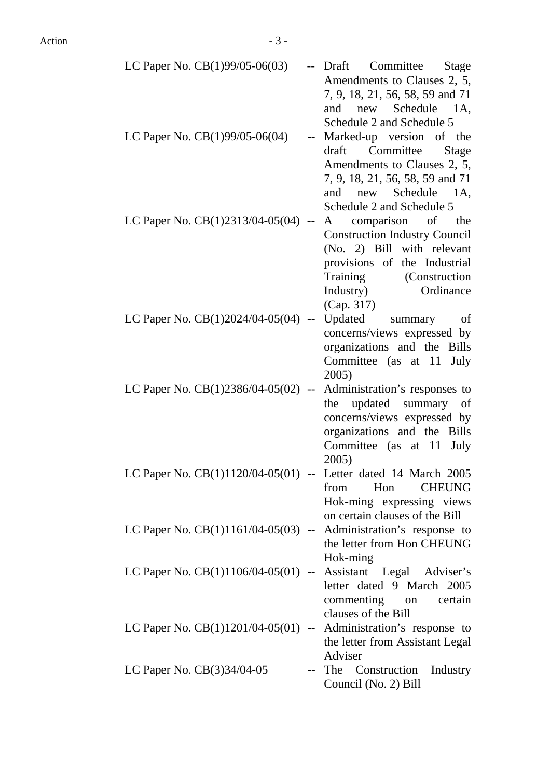| LC Paper No. $CB(1)99/05-06(03)$                                   | -- Draft<br>Committee<br>Stage<br>Amendments to Clauses 2, 5,<br>7, 9, 18, 21, 56, 58, 59 and 71                                                                                                         |
|--------------------------------------------------------------------|----------------------------------------------------------------------------------------------------------------------------------------------------------------------------------------------------------|
| LC Paper No. $CB(1)99/05-06(04)$                                   | and new Schedule 1A,<br>Schedule 2 and Schedule 5<br>Marked-up version of the<br>draft Committee<br>Stage<br>Amendments to Clauses 2, 5,<br>7, 9, 18, 21, 56, 58, 59 and 71                              |
| LC Paper No. $CB(1)2313/04-05(04)$ --                              | and new Schedule 1A,<br>Schedule 2 and Schedule 5<br>A comparison of the<br><b>Construction Industry Council</b><br>(No. 2) Bill with relevant<br>provisions of the Industrial<br>Training (Construction |
| LC Paper No. $CB(1)2024/04-05(04)$ --                              | Ordinance<br>Industry)<br>(Cap. 317)<br>Updated summary<br>of<br>concerns/views expressed by<br>organizations and the Bills                                                                              |
| LC Paper No. $CB(1)2386/04-05(02)$ --                              | Committee (as at 11<br>July<br>2005)<br>Administration's responses to<br>the updated summary<br>of<br>concerns/views expressed by<br>organizations and the Bills                                         |
| LC Paper No. CB(1)1120/04-05(01) -- Letter dated 14 March 2005     | Committee (as at 11<br>July<br>2005)<br><b>CHEUNG</b><br>from<br>Hon<br>Hok-ming expressing views                                                                                                        |
| LC Paper No. $CB(1)1161/04-05(03)$ -- Administration's response to | on certain clauses of the Bill<br>the letter from Hon CHEUNG                                                                                                                                             |
| LC Paper No. CB(1)1106/04-05(01) -- Assistant Legal Adviser's      | Hok-ming<br>letter dated 9 March 2005<br>commenting on<br>certain<br>clauses of the Bill                                                                                                                 |
| LC Paper No. $CB(1)1201/04-05(01)$ -- Administration's response to | the letter from Assistant Legal                                                                                                                                                                          |
| LC Paper No. $CB(3)34/04-05$                                       | Adviser<br>-- The Construction<br>Industry<br>Council (No. 2) Bill                                                                                                                                       |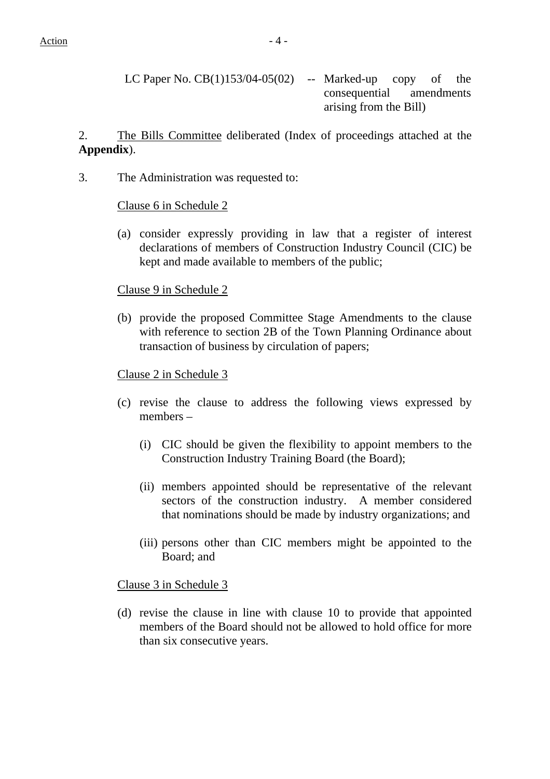LC Paper No.  $CB(1)153/04-05(02)$  -- Marked-up copy of the consequential amendments arising from the Bill)

2. The Bills Committee deliberated (Index of proceedings attached at the **Appendix**).

3. The Administration was requested to:

#### Clause 6 in Schedule 2

(a) consider expressly providing in law that a register of interest declarations of members of Construction Industry Council (CIC) be kept and made available to members of the public;

#### Clause 9 in Schedule 2

(b) provide the proposed Committee Stage Amendments to the clause with reference to section 2B of the Town Planning Ordinance about transaction of business by circulation of papers;

#### Clause 2 in Schedule 3

- (c) revise the clause to address the following views expressed by members –
	- (i) CIC should be given the flexibility to appoint members to the Construction Industry Training Board (the Board);
	- (ii) members appointed should be representative of the relevant sectors of the construction industry. A member considered that nominations should be made by industry organizations; and
	- (iii) persons other than CIC members might be appointed to the Board; and

#### Clause 3 in Schedule 3

(d) revise the clause in line with clause 10 to provide that appointed members of the Board should not be allowed to hold office for more than six consecutive years.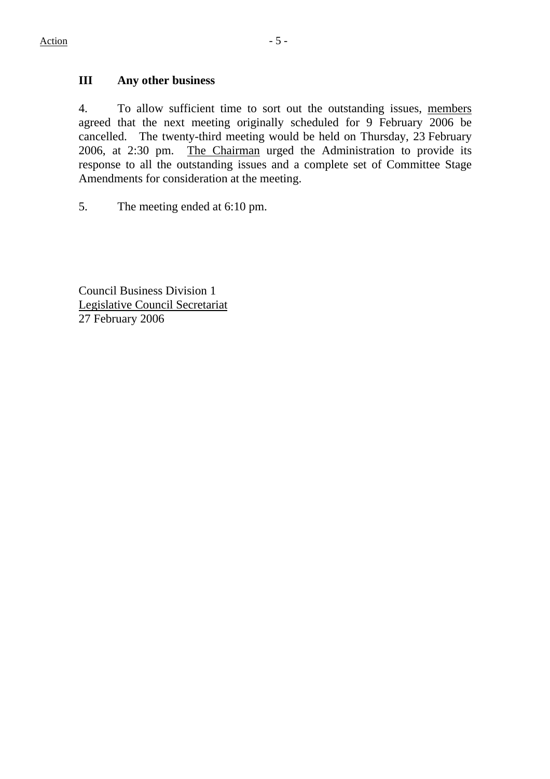# **III Any other business**

4. To allow sufficient time to sort out the outstanding issues, members agreed that the next meeting originally scheduled for 9 February 2006 be cancelled. The twenty-third meeting would be held on Thursday, 23 February 2006, at 2:30 pm. The Chairman urged the Administration to provide its response to all the outstanding issues and a complete set of Committee Stage Amendments for consideration at the meeting.

5. The meeting ended at 6:10 pm.

Council Business Division 1 Legislative Council Secretariat 27 February 2006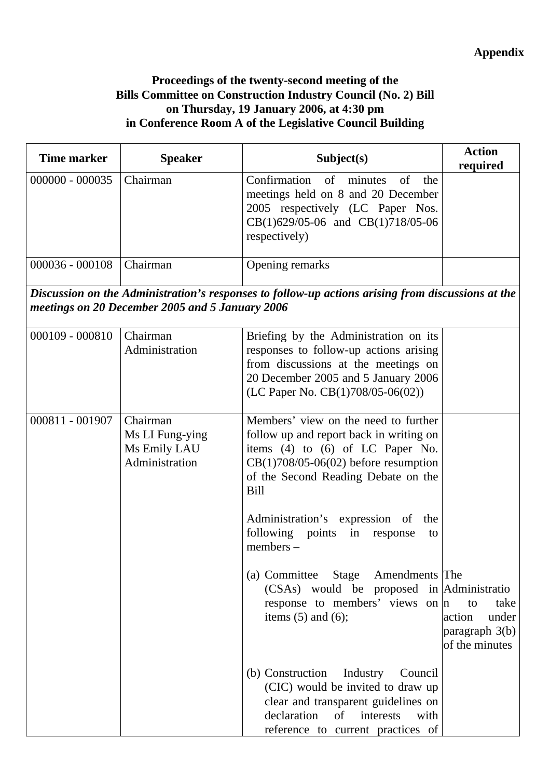# **Proceedings of the twenty-second meeting of the Bills Committee on Construction Industry Council (No. 2) Bill on Thursday, 19 January 2006, at 4:30 pm in Conference Room A of the Legislative Council Building**

| <b>Time marker</b> | <b>Speaker</b>                                                | Subject(s)                                                                                                                                                                                                          | <b>Action</b><br>required                                         |
|--------------------|---------------------------------------------------------------|---------------------------------------------------------------------------------------------------------------------------------------------------------------------------------------------------------------------|-------------------------------------------------------------------|
| 000000 - 000035    | Chairman                                                      | Confirmation<br>of<br>of<br>minutes<br>the<br>meetings held on 8 and 20 December<br>2005 respectively (LC Paper Nos.<br>CB(1)629/05-06 and CB(1)718/05-06<br>respectively)                                          |                                                                   |
| 000036 - 000108    | Chairman                                                      | Opening remarks                                                                                                                                                                                                     |                                                                   |
|                    | meetings on 20 December 2005 and 5 January 2006               | Discussion on the Administration's responses to follow-up actions arising from discussions at the                                                                                                                   |                                                                   |
| $000109 - 000810$  | Chairman<br>Administration                                    | Briefing by the Administration on its<br>responses to follow-up actions arising<br>from discussions at the meetings on<br>20 December 2005 and 5 January 2006<br>(LC Paper No. CB(1)708/05-06(02))                  |                                                                   |
| 000811 - 001907    | Chairman<br>Ms LI Fung-ying<br>Ms Emily LAU<br>Administration | Members' view on the need to further<br>follow up and report back in writing on<br>items (4) to (6) of LC Paper No.<br>$CB(1)708/05-06(02)$ before resumption<br>of the Second Reading Debate on the<br><b>Bill</b> |                                                                   |
|                    |                                                               | Administration's expression of<br>the<br>following points<br>in<br>response<br>to<br>$members -$                                                                                                                    |                                                                   |
|                    |                                                               | (a) Committee Stage Amendments The<br>(CSAs) would be proposed in Administratio<br>response to members' views on $ n $<br>items $(5)$ and $(6)$ ;                                                                   | take<br>to<br>action<br>under<br>paragraph 3(b)<br>of the minutes |
|                    |                                                               | (b) Construction<br>Industry<br>Council<br>(CIC) would be invited to draw up<br>clear and transparent guidelines on<br>declaration<br>interests<br>of<br>with<br>reference to current practices of                  |                                                                   |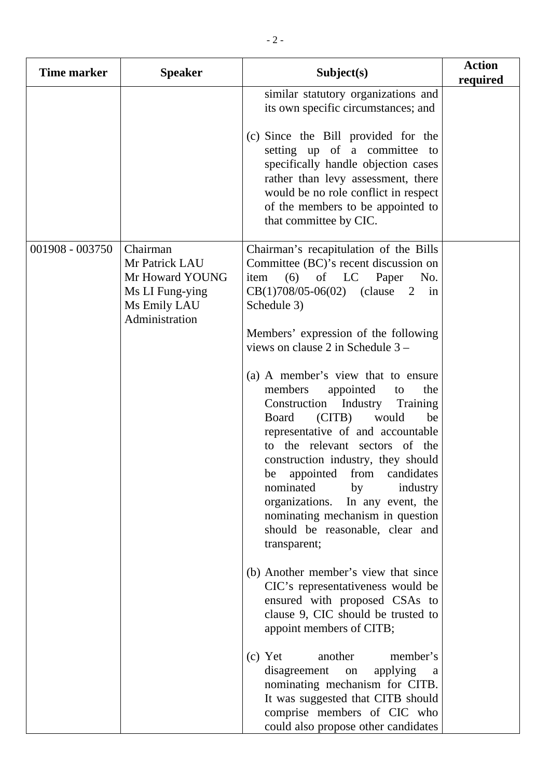| Time marker     | <b>Speaker</b>                                                                                     | Subject(s)                                                                                                                                                                                                                                                                                                                                                                                                                                            | <b>Action</b><br>required |
|-----------------|----------------------------------------------------------------------------------------------------|-------------------------------------------------------------------------------------------------------------------------------------------------------------------------------------------------------------------------------------------------------------------------------------------------------------------------------------------------------------------------------------------------------------------------------------------------------|---------------------------|
|                 |                                                                                                    | similar statutory organizations and<br>its own specific circumstances; and                                                                                                                                                                                                                                                                                                                                                                            |                           |
|                 |                                                                                                    | (c) Since the Bill provided for the<br>setting up of a committee to<br>specifically handle objection cases<br>rather than levy assessment, there<br>would be no role conflict in respect<br>of the members to be appointed to<br>that committee by CIC.                                                                                                                                                                                               |                           |
| 001908 - 003750 | Chairman<br>Mr Patrick LAU<br>Mr Howard YOUNG<br>Ms LI Fung-ying<br>Ms Emily LAU<br>Administration | Chairman's recapitulation of the Bills<br>Committee (BC)'s recent discussion on<br>item<br>$(6)$ of LC Paper<br>No.<br>$CB(1)708/05-06(02)$ (clause 2 in<br>Schedule 3)                                                                                                                                                                                                                                                                               |                           |
|                 |                                                                                                    | Members' expression of the following<br>views on clause 2 in Schedule 3 –                                                                                                                                                                                                                                                                                                                                                                             |                           |
|                 |                                                                                                    | (a) A member's view that to ensure<br>members<br>appointed<br>the<br>to<br>Industry<br>Training<br>Construction<br>would<br>Board (CITB)<br>be<br>representative of and accountable<br>to the relevant sectors of the<br>construction industry, they should<br>be appointed from candidates<br>nominated<br>by<br>industry<br>organizations. In any event, the<br>nominating mechanism in question<br>should be reasonable, clear and<br>transparent; |                           |
|                 |                                                                                                    | (b) Another member's view that since<br>CIC's representativeness would be<br>ensured with proposed CSAs to<br>clause 9, CIC should be trusted to<br>appoint members of CITB;                                                                                                                                                                                                                                                                          |                           |
|                 |                                                                                                    | $(c)$ Yet<br>member's<br>another<br>disagreement<br>applying<br>on<br>a<br>nominating mechanism for CITB.<br>It was suggested that CITB should<br>comprise members of CIC who<br>could also propose other candidates                                                                                                                                                                                                                                  |                           |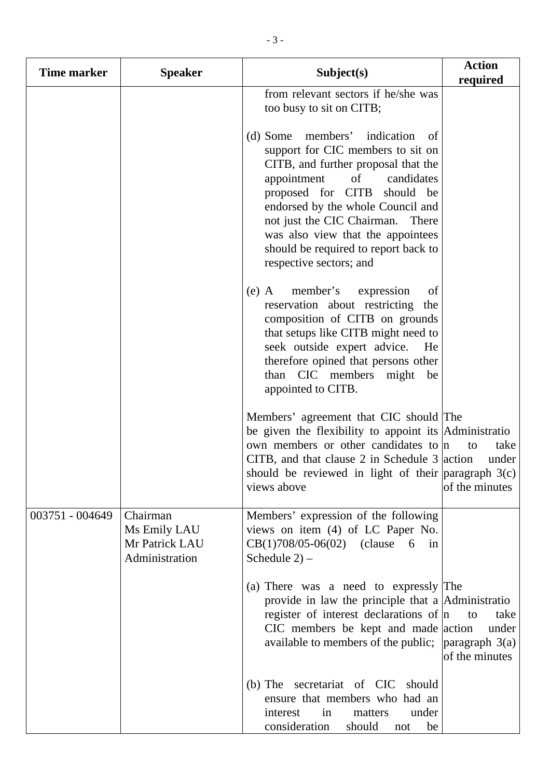| Time marker     | <b>Speaker</b>                                               | Subject(s)                                                                                                                                                                                                                                                                                                                                                     | <b>Action</b><br>required             |
|-----------------|--------------------------------------------------------------|----------------------------------------------------------------------------------------------------------------------------------------------------------------------------------------------------------------------------------------------------------------------------------------------------------------------------------------------------------------|---------------------------------------|
|                 |                                                              | from relevant sectors if he/she was<br>too busy to sit on CITB;                                                                                                                                                                                                                                                                                                |                                       |
|                 |                                                              | (d) Some members' indication of<br>support for CIC members to sit on<br>CITB, and further proposal that the<br>appointment<br>of<br>candidates<br>proposed for CITB should be<br>endorsed by the whole Council and<br>not just the CIC Chairman. There<br>was also view that the appointees<br>should be required to report back to<br>respective sectors; and |                                       |
|                 |                                                              | member's<br>$(e)$ A<br>expression<br>of<br>reservation about restricting<br>the<br>composition of CITB on grounds<br>that setups like CITB might need to<br>seek outside expert advice.<br>He<br>therefore opined that persons other<br>than CIC members might<br>be<br>appointed to CITB.                                                                     |                                       |
|                 |                                                              | Members' agreement that CIC should The<br>be given the flexibility to appoint its Administratio<br>own members or other candidates to n<br>CITB, and that clause 2 in Schedule $3$ action<br>should be reviewed in light of their paragraph $3(c)$<br>views above                                                                                              | take<br>to<br>under<br>of the minutes |
| 003751 - 004649 | Chairman<br>Ms Emily LAU<br>Mr Patrick LAU<br>Administration | Members' expression of the following<br>views on item (4) of LC Paper No.<br>$CB(1)708/05-06(02)$ (clause 6<br>$\sin$<br>Schedule $2$ ) –                                                                                                                                                                                                                      |                                       |
|                 |                                                              | (a) There was a need to expressly The<br>provide in law the principle that a Administratio<br>register of interest declarations of $ n $<br>CIC members be kept and made action<br>available to members of the public; $\alpha$   paragraph 3(a)                                                                                                               | take<br>to<br>under<br>of the minutes |
|                 |                                                              | secretariat of CIC should<br>$(b)$ The<br>ensure that members who had an<br>under<br>interest<br>in<br>matters<br>consideration<br>should<br>be<br>not                                                                                                                                                                                                         |                                       |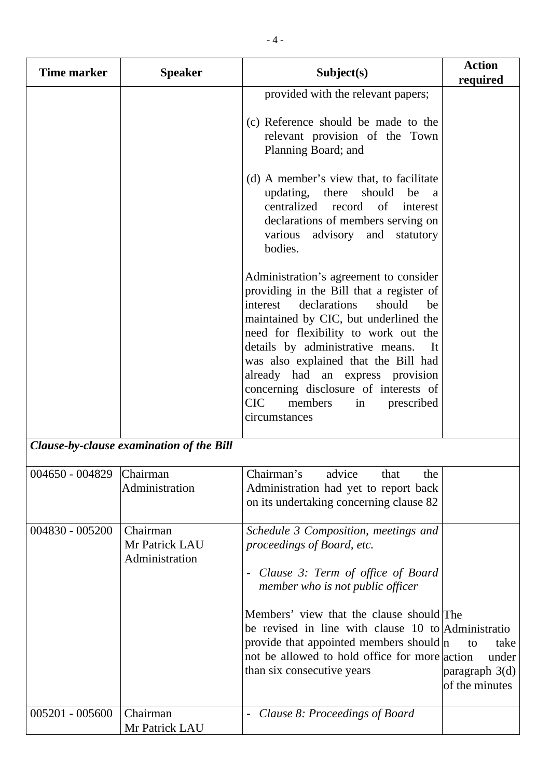| Time marker              | <b>Speaker</b>                               | Subject(s)                                                                                                                                                                                                                                                                                                                                                                                                                                   | <b>Action</b><br>required                               |
|--------------------------|----------------------------------------------|----------------------------------------------------------------------------------------------------------------------------------------------------------------------------------------------------------------------------------------------------------------------------------------------------------------------------------------------------------------------------------------------------------------------------------------------|---------------------------------------------------------|
|                          |                                              | provided with the relevant papers;<br>(c) Reference should be made to the<br>relevant provision of the Town<br>Planning Board; and                                                                                                                                                                                                                                                                                                           |                                                         |
|                          |                                              | (d) A member's view that, to facilitate<br>updating, there<br>should<br>be<br><sub>a</sub><br>centralized record of interest<br>declarations of members serving on<br>advisory and<br>various<br>statutory<br>bodies.                                                                                                                                                                                                                        |                                                         |
|                          |                                              | Administration's agreement to consider<br>providing in the Bill that a register of<br>declarations<br>should<br>interest<br>be<br>maintained by CIC, but underlined the<br>need for flexibility to work out the<br>details by administrative means.<br>It<br>was also explained that the Bill had<br>already had an express provision<br>concerning disclosure of interests of<br><b>CIC</b><br>members<br>prescribed<br>in<br>circumstances |                                                         |
|                          | Clause-by-clause examination of the Bill     |                                                                                                                                                                                                                                                                                                                                                                                                                                              |                                                         |
| 004650 - 004829 Chairman | Administration                               | Chairman's<br>advice<br>that<br>the<br>Administration had yet to report back<br>on its undertaking concerning clause 82                                                                                                                                                                                                                                                                                                                      |                                                         |
| 004830 - 005200          | Chairman<br>Mr Patrick LAU<br>Administration | Schedule 3 Composition, meetings and<br>proceedings of Board, etc.<br>Clause 3: Term of office of Board<br>member who is not public officer<br>Members' view that the clause should The<br>be revised in line with clause 10 to Administratio<br>provide that appointed members should $ n $<br>not be allowed to hold office for more action<br>than six consecutive years                                                                  | to<br>take<br>under<br>paragraph 3(d)<br>of the minutes |
| 005201 - 005600          | Chairman<br>Mr Patrick LAU                   | Clause 8: Proceedings of Board                                                                                                                                                                                                                                                                                                                                                                                                               |                                                         |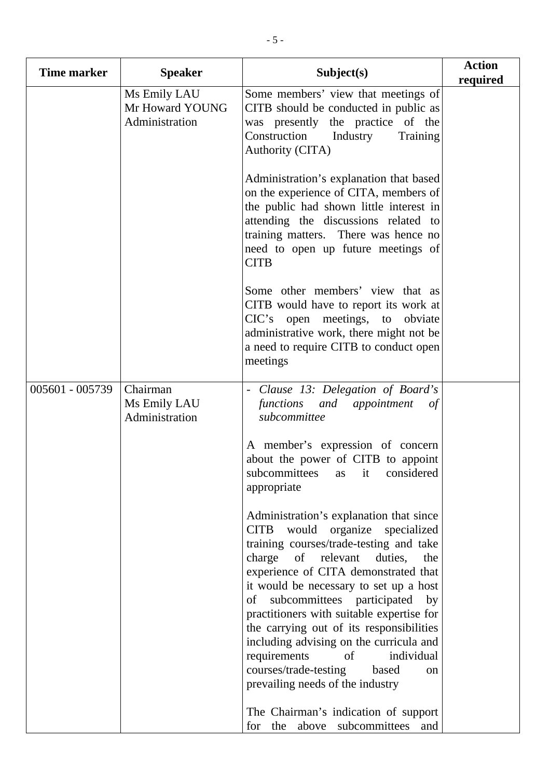| <b>Time marker</b> | <b>Speaker</b>                                    | Subject(s)                                                                                                                                                                                                                                                                                                                                                                                                                                                                                                                                                 | <b>Action</b><br>required |
|--------------------|---------------------------------------------------|------------------------------------------------------------------------------------------------------------------------------------------------------------------------------------------------------------------------------------------------------------------------------------------------------------------------------------------------------------------------------------------------------------------------------------------------------------------------------------------------------------------------------------------------------------|---------------------------|
|                    | Ms Emily LAU<br>Mr Howard YOUNG<br>Administration | Some members' view that meetings of<br>CITB should be conducted in public as<br>was presently the practice of the<br>Construction<br>Industry<br>Training<br>Authority (CITA)                                                                                                                                                                                                                                                                                                                                                                              |                           |
|                    |                                                   | Administration's explanation that based<br>on the experience of CITA, members of<br>the public had shown little interest in<br>attending the discussions related to<br>training matters. There was hence no<br>need to open up future meetings of<br><b>CITB</b>                                                                                                                                                                                                                                                                                           |                           |
|                    |                                                   | Some other members' view that as<br>CITB would have to report its work at<br>CIC's open meetings, to obviate<br>administrative work, there might not be<br>a need to require CITB to conduct open<br>meetings                                                                                                                                                                                                                                                                                                                                              |                           |
| 005601 - 005739    | Chairman<br>Ms Emily LAU<br>Administration        | - Clause 13: Delegation of Board's<br>functions and appointment<br>$\sigma f$<br>subcommittee                                                                                                                                                                                                                                                                                                                                                                                                                                                              |                           |
|                    |                                                   | A member's expression of concern<br>about the power of CITB to appoint<br>subcommittees as it considered<br>appropriate                                                                                                                                                                                                                                                                                                                                                                                                                                    |                           |
|                    |                                                   | Administration's explanation that since<br>would organize specialized<br><b>CITB</b><br>training courses/trade-testing and take<br>of relevant<br>charge<br>duties,<br>the<br>experience of CITA demonstrated that<br>it would be necessary to set up a host<br>subcommittees participated<br>of<br>by<br>practitioners with suitable expertise for<br>the carrying out of its responsibilities<br>including advising on the curricula and<br>individual<br>requirements<br>of<br>courses/trade-testing<br>based<br>on<br>prevailing needs of the industry |                           |
|                    |                                                   | The Chairman's indication of support<br>the above subcommittees<br>for<br>and                                                                                                                                                                                                                                                                                                                                                                                                                                                                              |                           |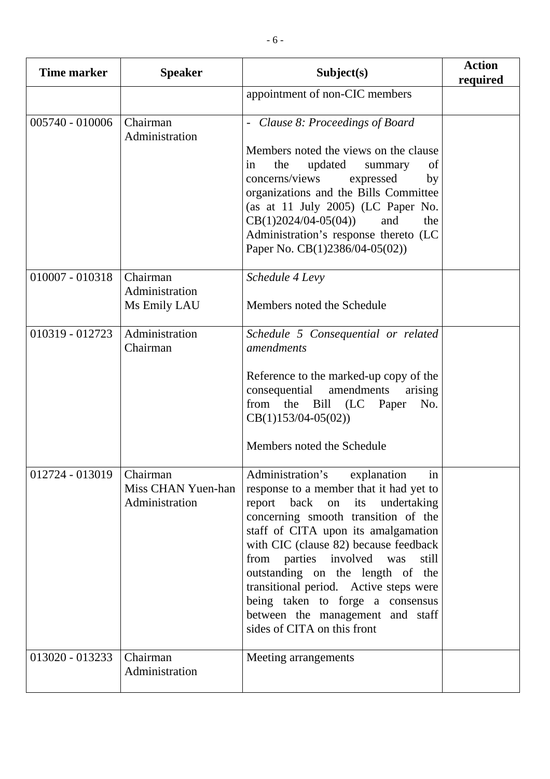| <b>Time marker</b>       | <b>Speaker</b>                             | Subject(s)                                                                                                                                                                                                                                                                                                                                                                                                                                                     | <b>Action</b><br>required |
|--------------------------|--------------------------------------------|----------------------------------------------------------------------------------------------------------------------------------------------------------------------------------------------------------------------------------------------------------------------------------------------------------------------------------------------------------------------------------------------------------------------------------------------------------------|---------------------------|
|                          |                                            | appointment of non-CIC members                                                                                                                                                                                                                                                                                                                                                                                                                                 |                           |
| 005740 - 010006          | Chairman<br>Administration                 | - Clause 8: Proceedings of Board<br>Members noted the views on the clause<br>the<br>updated<br>in<br>of<br>summary<br>concerns/views<br>expressed<br>by<br>organizations and the Bills Committee<br>(as at 11 July 2005) (LC Paper No.<br>$CB(1)2024/04-05(04))$<br>and<br>the<br>Administration's response thereto (LC<br>Paper No. CB(1)2386/04-05(02))                                                                                                      |                           |
| 010007 - 010318          | Chairman<br>Administration<br>Ms Emily LAU | Schedule 4 Levy<br>Members noted the Schedule                                                                                                                                                                                                                                                                                                                                                                                                                  |                           |
| 010319 - 012723          | Administration<br>Chairman                 | Schedule 5 Consequential or related<br>amendments<br>Reference to the marked-up copy of the<br>consequential<br>amendments<br>arising<br>the Bill (LC Paper<br>from<br>No.<br>$CB(1)153/04-05(02))$<br>Members noted the Schedule                                                                                                                                                                                                                              |                           |
| 012724 - 013019 Chairman | Miss CHAN Yuen-han<br>Administration       | Administration's explanation in<br>response to a member that it had yet to<br>report back on its undertaking<br>concerning smooth transition of the<br>staff of CITA upon its amalgamation<br>with CIC (clause 82) because feedback<br>from parties involved was<br>still<br>outstanding on the length of the<br>transitional period. Active steps were<br>being taken to forge a consensus<br>between the management and staff<br>sides of CITA on this front |                           |
| $013020 - 013233$        | Chairman<br>Administration                 | Meeting arrangements                                                                                                                                                                                                                                                                                                                                                                                                                                           |                           |